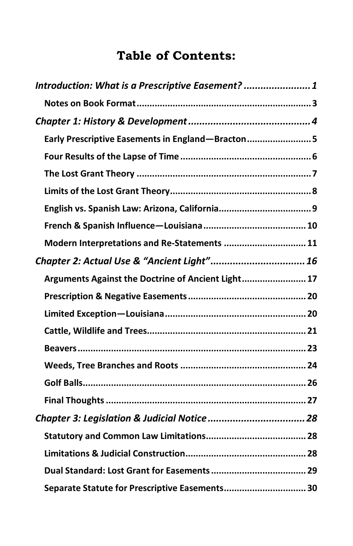## **Table of Contents:**

| Introduction: What is a Prescriptive Easement?  1  |  |
|----------------------------------------------------|--|
|                                                    |  |
|                                                    |  |
| Early Prescriptive Easements in England-Bracton 5  |  |
|                                                    |  |
|                                                    |  |
|                                                    |  |
|                                                    |  |
|                                                    |  |
| Modern Interpretations and Re-Statements  11       |  |
| Chapter 2: Actual Use & "Ancient Light" 16         |  |
| Arguments Against the Doctrine of Ancient Light 17 |  |
|                                                    |  |
|                                                    |  |
|                                                    |  |
|                                                    |  |
|                                                    |  |
|                                                    |  |
|                                                    |  |
|                                                    |  |
|                                                    |  |
|                                                    |  |
|                                                    |  |
| Separate Statute for Prescriptive Easements 30     |  |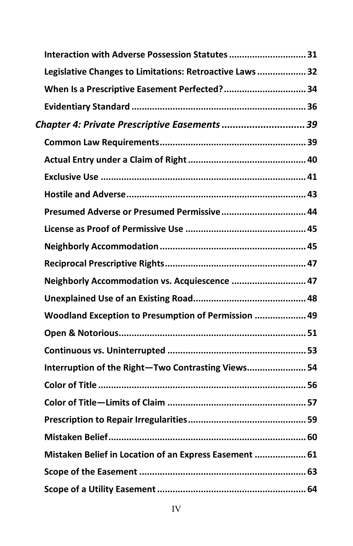| Interaction with Adverse Possession Statutes  31         |  |
|----------------------------------------------------------|--|
| Legislative Changes to Limitations: Retroactive Laws  32 |  |
| When Is a Prescriptive Easement Perfected? 34            |  |
|                                                          |  |
| Chapter 4: Private Prescriptive Easements  39            |  |
|                                                          |  |
|                                                          |  |
|                                                          |  |
|                                                          |  |
| Presumed Adverse or Presumed Permissive 44               |  |
|                                                          |  |
|                                                          |  |
|                                                          |  |
| Neighborly Accommodation vs. Acquiescence  47            |  |
|                                                          |  |
| Woodland Exception to Presumption of Permission  49      |  |
|                                                          |  |
|                                                          |  |
| Interruption of the Right-Two Contrasting Views 54       |  |
|                                                          |  |
|                                                          |  |
|                                                          |  |
|                                                          |  |
| Mistaken Belief in Location of an Express Easement  61   |  |
|                                                          |  |
|                                                          |  |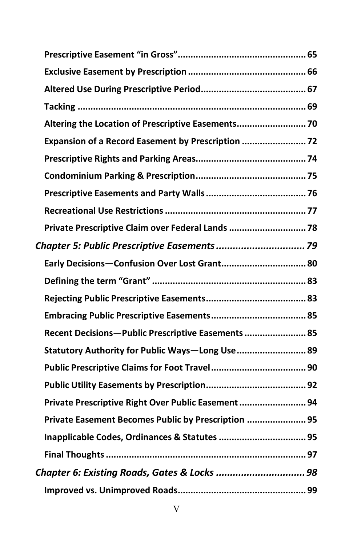| Altering the Location of Prescriptive Easements 70  |  |
|-----------------------------------------------------|--|
| Expansion of a Record Easement by Prescription      |  |
|                                                     |  |
|                                                     |  |
|                                                     |  |
|                                                     |  |
| Private Prescriptive Claim over Federal Lands  78   |  |
| Chapter 5: Public Prescriptive Easements  79        |  |
| Early Decisions-Confusion Over Lost Grant 80        |  |
|                                                     |  |
|                                                     |  |
|                                                     |  |
|                                                     |  |
| Recent Decisions-Public Prescriptive Easements  85  |  |
| Statutory Authority for Public Ways-Long Use 89     |  |
|                                                     |  |
|                                                     |  |
| Private Prescriptive Right Over Public Easement  94 |  |
| Private Easement Becomes Public by Prescription  95 |  |
|                                                     |  |
|                                                     |  |
| Chapter 6: Existing Roads, Gates & Locks  98        |  |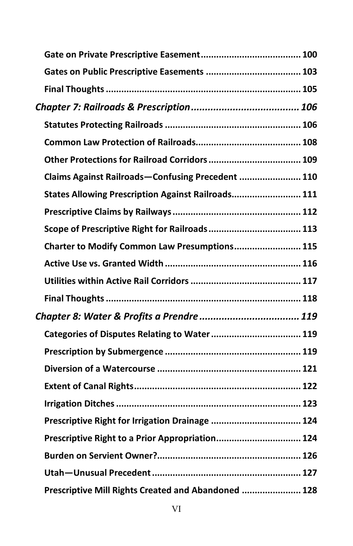| Claims Against Railroads-Confusing Precedent  110  |  |
|----------------------------------------------------|--|
| States Allowing Prescription Against Railroads 111 |  |
|                                                    |  |
|                                                    |  |
| Charter to Modify Common Law Presumptions 115      |  |
|                                                    |  |
|                                                    |  |
|                                                    |  |
|                                                    |  |
|                                                    |  |
| Categories of Disputes Relating to Water  119      |  |
|                                                    |  |
|                                                    |  |
|                                                    |  |
|                                                    |  |
| Prescriptive Right for Irrigation Drainage  124    |  |
| Prescriptive Right to a Prior Appropriation 124    |  |
|                                                    |  |
|                                                    |  |